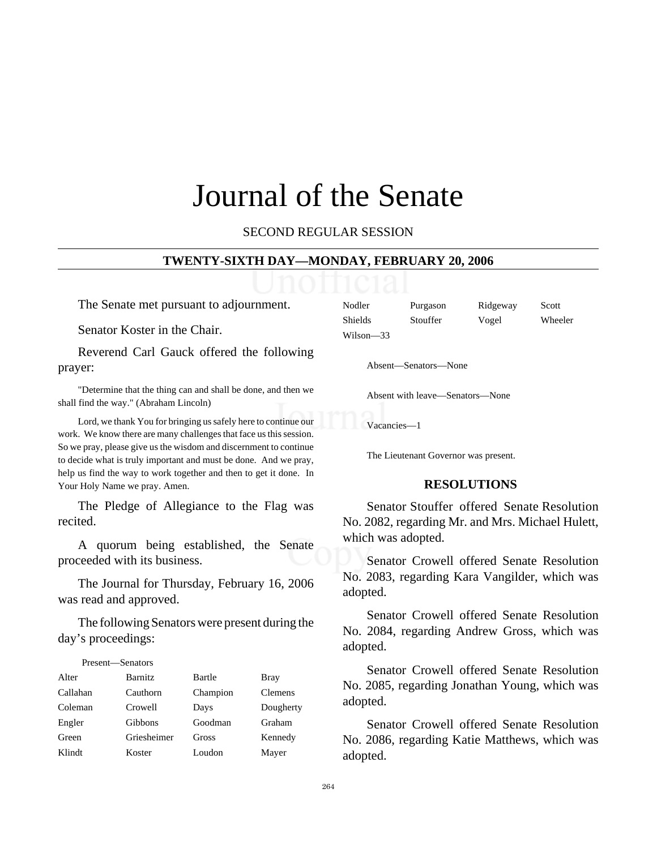# Journal of the Senate

SECOND REGULAR SESSION

#### **TWENTY-SIXTH DAY—MONDAY, FEBRUARY 20, 2006**

The Senate met pursuant to adjournment.

Senator Koster in the Chair.

Reverend Carl Gauck offered the following prayer:

"Determine that the thing can and shall be done, and then we shall find the way." (Abraham Lincoln)

Lord, we thank You for bringing us safely here to continue our work. We know there are many challenges that face us this session. So we pray, please give us the wisdom and discernment to continue to decide what is truly important and must be done. And we pray, help us find the way to work together and then to get it done. In Your Holy Name we pray. Amen.

The Pledge of Allegiance to the Flag was recited.

A quorum being established, the Senate proceeded with its business.

The Journal for Thursday, February 16, 2006 was read and approved.

The following Senators were present during the day's proceedings:

#### Present—Senators

| Alter    | <b>Barnitz</b> | Bartle   | <b>Bray</b>    |
|----------|----------------|----------|----------------|
| Callahan | Cauthorn       | Champion | <b>Clemens</b> |
| Coleman  | Crowell        | Days     | Dougherty      |
| Engler   | Gibbons        | Goodman  | Graham         |
| Green    | Griesheimer    | Gross    | Kennedy        |
| Klindt   | Koster         | Loudon   | Mayer          |

| Nodler    | Purgason | Ridgeway | Scott   |
|-----------|----------|----------|---------|
| Shields   | Stouffer | Vogel    | Wheeler |
| Wilson—33 |          |          |         |

Absent—Senators—None

Absent with leave—Senators—None

Vacancies—1

The Lieutenant Governor was present.

#### **RESOLUTIONS**

Senator Stouffer offered Senate Resolution No. 2082, regarding Mr. and Mrs. Michael Hulett, which was adopted.

Senator Crowell offered Senate Resolution No. 2083, regarding Kara Vangilder, which was adopted.

Senator Crowell offered Senate Resolution No. 2084, regarding Andrew Gross, which was adopted.

Senator Crowell offered Senate Resolution No. 2085, regarding Jonathan Young, which was adopted.

Senator Crowell offered Senate Resolution No. 2086, regarding Katie Matthews, which was adopted.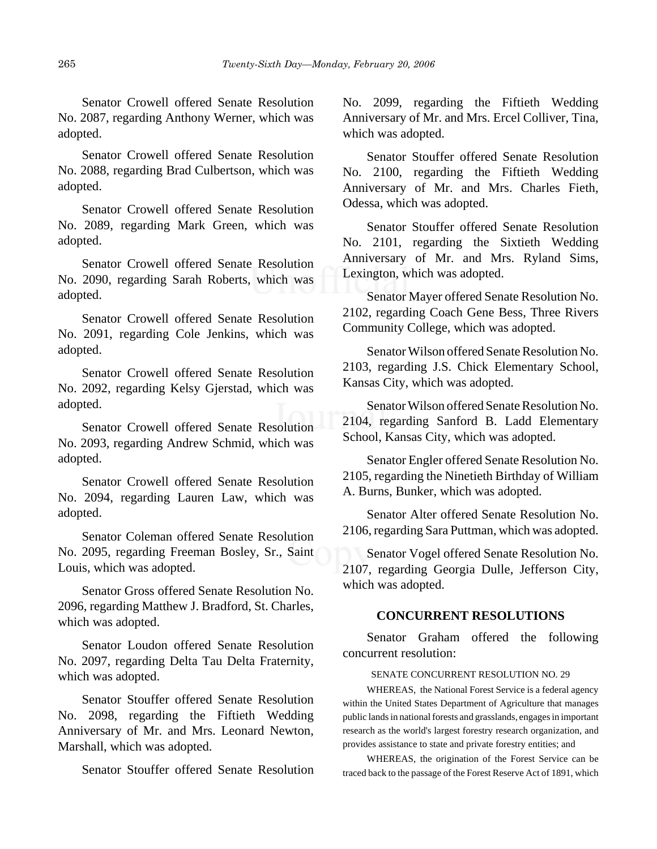Senator Crowell offered Senate Resolution No. 2087, regarding Anthony Werner, which was adopted.

Senator Crowell offered Senate Resolution No. 2088, regarding Brad Culbertson, which was adopted.

Senator Crowell offered Senate Resolution No. 2089, regarding Mark Green, which was adopted.

Senator Crowell offered Senate Resolution No. 2090, regarding Sarah Roberts, which was adopted.

Senator Crowell offered Senate Resolution No. 2091, regarding Cole Jenkins, which was adopted.

Senator Crowell offered Senate Resolution No. 2092, regarding Kelsy Gjerstad, which was adopted.

Senator Crowell offered Senate Resolution No. 2093, regarding Andrew Schmid, which was adopted.

Senator Crowell offered Senate Resolution No. 2094, regarding Lauren Law, which was adopted.

Senator Coleman offered Senate Resolution No. 2095, regarding Freeman Bosley, Sr., Saint Louis, which was adopted.

Senator Gross offered Senate Resolution No. 2096, regarding Matthew J. Bradford, St. Charles, which was adopted.

Senator Loudon offered Senate Resolution No. 2097, regarding Delta Tau Delta Fraternity, which was adopted.

Senator Stouffer offered Senate Resolution No. 2098, regarding the Fiftieth Wedding Anniversary of Mr. and Mrs. Leonard Newton, Marshall, which was adopted.

Senator Stouffer offered Senate Resolution

No. 2099, regarding the Fiftieth Wedding Anniversary of Mr. and Mrs. Ercel Colliver, Tina, which was adopted.

Senator Stouffer offered Senate Resolution No. 2100, regarding the Fiftieth Wedding Anniversary of Mr. and Mrs. Charles Fieth, Odessa, which was adopted.

Senator Stouffer offered Senate Resolution No. 2101, regarding the Sixtieth Wedding Anniversary of Mr. and Mrs. Ryland Sims, Lexington, which was adopted.

Senator Mayer offered Senate Resolution No. 2102, regarding Coach Gene Bess, Three Rivers Community College, which was adopted.

Senator Wilson offered Senate Resolution No. 2103, regarding J.S. Chick Elementary School, Kansas City, which was adopted.

Senator Wilson offered Senate Resolution No. 2104, regarding Sanford B. Ladd Elementary School, Kansas City, which was adopted.

Senator Engler offered Senate Resolution No. 2105, regarding the Ninetieth Birthday of William A. Burns, Bunker, which was adopted.

Senator Alter offered Senate Resolution No. 2106, regarding Sara Puttman, which was adopted.

Senator Vogel offered Senate Resolution No. 2107, regarding Georgia Dulle, Jefferson City, which was adopted.

# **CONCURRENT RESOLUTIONS**

Senator Graham offered the following concurrent resolution:

#### SENATE CONCURRENT RESOLUTION NO. 29

WHEREAS, the National Forest Service is a federal agency within the United States Department of Agriculture that manages public lands in national forests and grasslands, engages in important research as the world's largest forestry research organization, and provides assistance to state and private forestry entities; and

WHEREAS, the origination of the Forest Service can be traced back to the passage of the Forest Reserve Act of 1891, which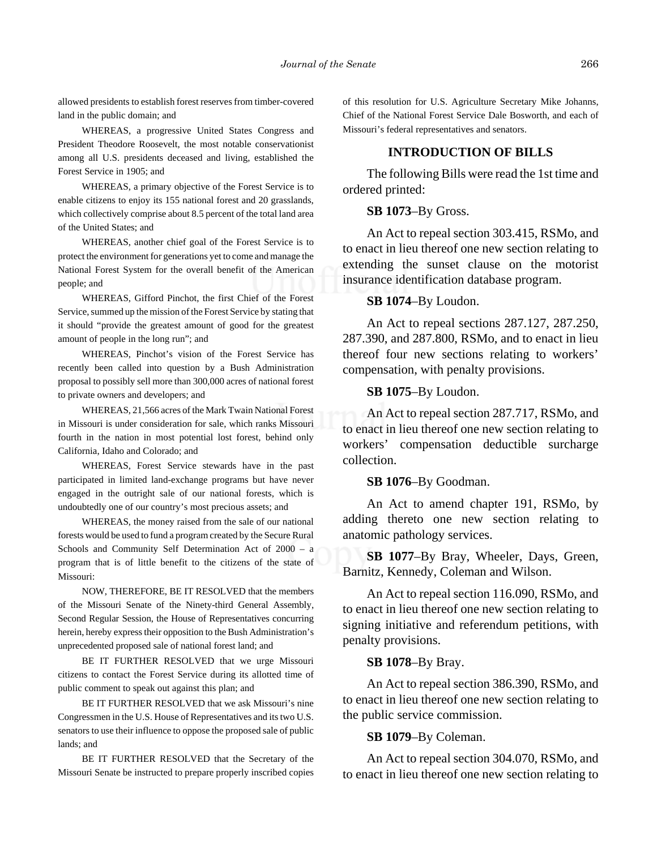allowed presidents to establish forest reserves from timber-covered land in the public domain; and

WHEREAS, a progressive United States Congress and President Theodore Roosevelt, the most notable conservationist among all U.S. presidents deceased and living, established the Forest Service in 1905; and

WHEREAS, a primary objective of the Forest Service is to enable citizens to enjoy its 155 national forest and 20 grasslands, which collectively comprise about 8.5 percent of the total land area of the United States; and

WHEREAS, another chief goal of the Forest Service is to protect the environment for generations yet to come and manage the National Forest System for the overall benefit of the American people; and

WHEREAS, Gifford Pinchot, the first Chief of the Forest Service, summed up the mission of the Forest Service by stating that it should "provide the greatest amount of good for the greatest amount of people in the long run"; and

WHEREAS, Pinchot's vision of the Forest Service has recently been called into question by a Bush Administration proposal to possibly sell more than 300,000 acres of national forest to private owners and developers; and

WHEREAS, 21,566 acres of the Mark Twain National Forest in Missouri is under consideration for sale, which ranks Missouri fourth in the nation in most potential lost forest, behind only California, Idaho and Colorado; and

WHEREAS, Forest Service stewards have in the past participated in limited land-exchange programs but have never engaged in the outright sale of our national forests, which is undoubtedly one of our country's most precious assets; and

WHEREAS, the money raised from the sale of our national forests would be used to fund a program created by the Secure Rural Schools and Community Self Determination Act of 2000 – a program that is of little benefit to the citizens of the state of Missouri:

NOW, THEREFORE, BE IT RESOLVED that the members of the Missouri Senate of the Ninety-third General Assembly, Second Regular Session, the House of Representatives concurring herein, hereby express their opposition to the Bush Administration's unprecedented proposed sale of national forest land; and

BE IT FURTHER RESOLVED that we urge Missouri citizens to contact the Forest Service during its allotted time of public comment to speak out against this plan; and

BE IT FURTHER RESOLVED that we ask Missouri's nine Congressmen in the U.S. House of Representatives and its two U.S. senators to use their influence to oppose the proposed sale of public lands; and

BE IT FURTHER RESOLVED that the Secretary of the Missouri Senate be instructed to prepare properly inscribed copies of this resolution for U.S. Agriculture Secretary Mike Johanns, Chief of the National Forest Service Dale Bosworth, and each of Missouri's federal representatives and senators.

## **INTRODUCTION OF BILLS**

The following Bills were read the 1st time and ordered printed:

### **SB 1073**–By Gross.

An Act to repeal section 303.415, RSMo, and to enact in lieu thereof one new section relating to extending the sunset clause on the motorist insurance identification database program.

# **SB 1074**–By Loudon.

An Act to repeal sections 287.127, 287.250, 287.390, and 287.800, RSMo, and to enact in lieu thereof four new sections relating to workers' compensation, with penalty provisions.

#### **SB 1075**–By Loudon.

An Act to repeal section 287.717, RSMo, and to enact in lieu thereof one new section relating to workers' compensation deductible surcharge collection.

#### **SB 1076**–By Goodman.

An Act to amend chapter 191, RSMo, by adding thereto one new section relating to anatomic pathology services.

**SB 1077**–By Bray, Wheeler, Days, Green, Barnitz, Kennedy, Coleman and Wilson.

An Act to repeal section 116.090, RSMo, and to enact in lieu thereof one new section relating to signing initiative and referendum petitions, with penalty provisions.

#### **SB 1078**–By Bray.

An Act to repeal section 386.390, RSMo, and to enact in lieu thereof one new section relating to the public service commission.

#### **SB 1079**–By Coleman.

An Act to repeal section 304.070, RSMo, and to enact in lieu thereof one new section relating to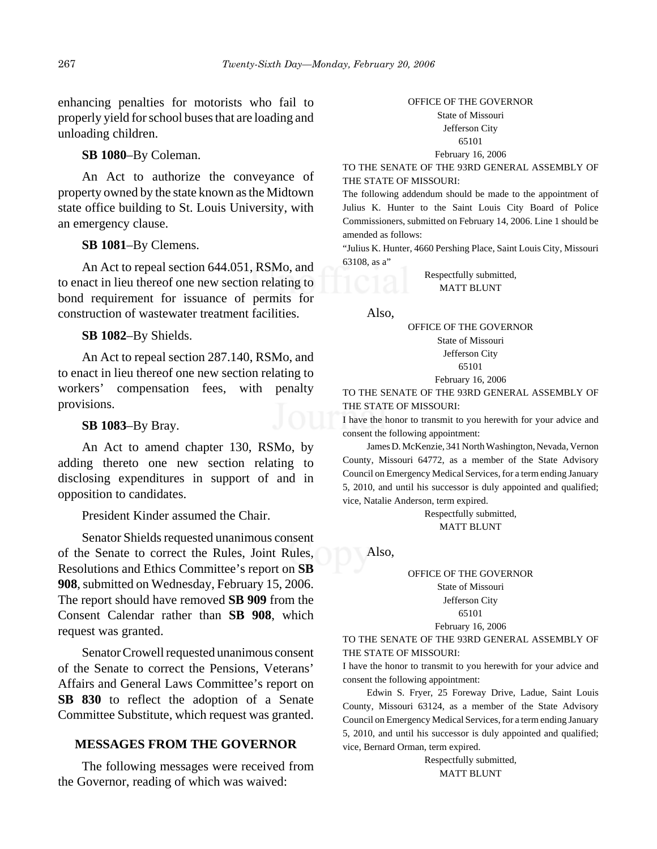enhancing penalties for motorists who fail to properly yield for school buses that are loading and unloading children.

**SB 1080**–By Coleman.

An Act to authorize the conveyance of property owned by the state known as the Midtown state office building to St. Louis University, with an emergency clause.

#### **SB 1081**–By Clemens.

An Act to repeal section 644.051, RSMo, and to enact in lieu thereof one new section relating to bond requirement for issuance of permits for construction of wastewater treatment facilities.

## **SB 1082**–By Shields.

An Act to repeal section 287.140, RSMo, and to enact in lieu thereof one new section relating to workers' compensation fees, with penalty provisions.

#### **SB 1083**–By Bray.

An Act to amend chapter 130, RSMo, by adding thereto one new section relating to disclosing expenditures in support of and in opposition to candidates.

President Kinder assumed the Chair.

Senator Shields requested unanimous consent of the Senate to correct the Rules, Joint Rules, Resolutions and Ethics Committee's report on **SB 908**, submitted on Wednesday, February 15, 2006. The report should have removed **SB 909** from the Consent Calendar rather than **SB 908**, which request was granted.

Senator Crowell requested unanimous consent of the Senate to correct the Pensions, Veterans' Affairs and General Laws Committee's report on **SB 830** to reflect the adoption of a Senate Committee Substitute, which request was granted.

## **MESSAGES FROM THE GOVERNOR**

The following messages were received from the Governor, reading of which was waived:

#### OFFICE OF THE GOVERNOR State of Missouri

Jefferson City

65101

February 16, 2006

TO THE SENATE OF THE 93RD GENERAL ASSEMBLY OF THE STATE OF MISSOURI:

The following addendum should be made to the appointment of Julius K. Hunter to the Saint Louis City Board of Police Commissioners, submitted on February 14, 2006. Line 1 should be amended as follows:

"Julius K. Hunter, 4660 Pershing Place, Saint Louis City, Missouri 63108, as a"

> Respectfully submitted, MATT BLUNT

#### Also,

OFFICE OF THE GOVERNOR State of Missouri Jefferson City 65101 February 16, 2006

TO THE SENATE OF THE 93RD GENERAL ASSEMBLY OF THE STATE OF MISSOURI:

I have the honor to transmit to you herewith for your advice and consent the following appointment:

James D. McKenzie, 341 North Washington, Nevada, Vernon County, Missouri 64772, as a member of the State Advisory Council on Emergency Medical Services, for a term ending January 5, 2010, and until his successor is duly appointed and qualified; vice, Natalie Anderson, term expired.

> Respectfully submitted, MATT BLUNT

Also,

OFFICE OF THE GOVERNOR State of Missouri Jefferson City 65101

February 16, 2006

TO THE SENATE OF THE 93RD GENERAL ASSEMBLY OF THE STATE OF MISSOURI:

I have the honor to transmit to you herewith for your advice and consent the following appointment:

Edwin S. Fryer, 25 Foreway Drive, Ladue, Saint Louis County, Missouri 63124, as a member of the State Advisory Council on Emergency Medical Services, for a term ending January 5, 2010, and until his successor is duly appointed and qualified; vice, Bernard Orman, term expired.

> Respectfully submitted, MATT BLUNT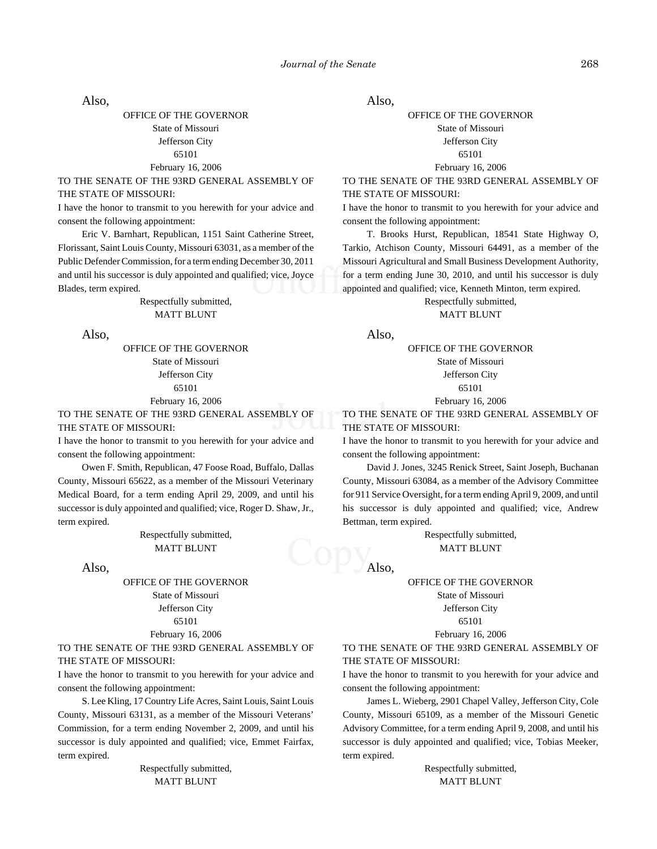Also,

OFFICE OF THE GOVERNOR State of Missouri Jefferson City 65101 February 16, 2006

TO THE SENATE OF THE 93RD GENERAL ASSEMBLY OF THE STATE OF MISSOURI:

I have the honor to transmit to you herewith for your advice and consent the following appointment:

Eric V. Barnhart, Republican, 1151 Saint Catherine Street, Florissant, Saint Louis County, Missouri 63031, as a member of the Public Defender Commission, for a term ending December 30, 2011 and until his successor is duly appointed and qualified; vice, Joyce Blades, term expired.

> Respectfully submitted, MATT BLUNT

Also,

OFFICE OF THE GOVERNOR State of Missouri Jefferson City 65101 February 16, 2006

TO THE SENATE OF THE 93RD GENERAL ASSEMBLY OF THE STATE OF MISSOURI:

I have the honor to transmit to you herewith for your advice and consent the following appointment:

Owen F. Smith, Republican, 47 Foose Road, Buffalo, Dallas County, Missouri 65622, as a member of the Missouri Veterinary Medical Board, for a term ending April 29, 2009, and until his successor is duly appointed and qualified; vice, Roger D. Shaw, Jr., term expired.

> Respectfully submitted, MATT BLUNT

Also,

OFFICE OF THE GOVERNOR State of Missouri Jefferson City 65101 February 16, 2006

TO THE SENATE OF THE 93RD GENERAL ASSEMBLY OF

THE STATE OF MISSOURI:

I have the honor to transmit to you herewith for your advice and consent the following appointment:

S. Lee Kling, 17 Country Life Acres, Saint Louis, Saint Louis County, Missouri 63131, as a member of the Missouri Veterans' Commission, for a term ending November 2, 2009, and until his successor is duly appointed and qualified; vice, Emmet Fairfax, term expired.

> Respectfully submitted, MATT BLUNT

Also,

#### OFFICE OF THE GOVERNOR State of Missouri Jefferson City 65101

#### February 16, 2006

TO THE SENATE OF THE 93RD GENERAL ASSEMBLY OF THE STATE OF MISSOURI:

I have the honor to transmit to you herewith for your advice and consent the following appointment:

T. Brooks Hurst, Republican, 18541 State Highway O, Tarkio, Atchison County, Missouri 64491, as a member of the Missouri Agricultural and Small Business Development Authority, for a term ending June 30, 2010, and until his successor is duly appointed and qualified; vice, Kenneth Minton, term expired.

Respectfully submitted,

MATT BLUNT

Also,

OFFICE OF THE GOVERNOR State of Missouri Jefferson City 65101

February 16, 2006

TO THE SENATE OF THE 93RD GENERAL ASSEMBLY OF THE STATE OF MISSOURI:

I have the honor to transmit to you herewith for your advice and consent the following appointment:

David J. Jones, 3245 Renick Street, Saint Joseph, Buchanan County, Missouri 63084, as a member of the Advisory Committee for 911 Service Oversight, for a term ending April 9, 2009, and until his successor is duly appointed and qualified; vice, Andrew Bettman, term expired.

> Respectfully submitted, MATT BLUNT

Also,

OFFICE OF THE GOVERNOR State of Missouri

Jefferson City

#### 65101

February 16, 2006

TO THE SENATE OF THE 93RD GENERAL ASSEMBLY OF THE STATE OF MISSOURI:

I have the honor to transmit to you herewith for your advice and consent the following appointment:

James L. Wieberg, 2901 Chapel Valley, Jefferson City, Cole County, Missouri 65109, as a member of the Missouri Genetic Advisory Committee, for a term ending April 9, 2008, and until his successor is duly appointed and qualified; vice, Tobias Meeker, term expired.

> Respectfully submitted, MATT BLUNT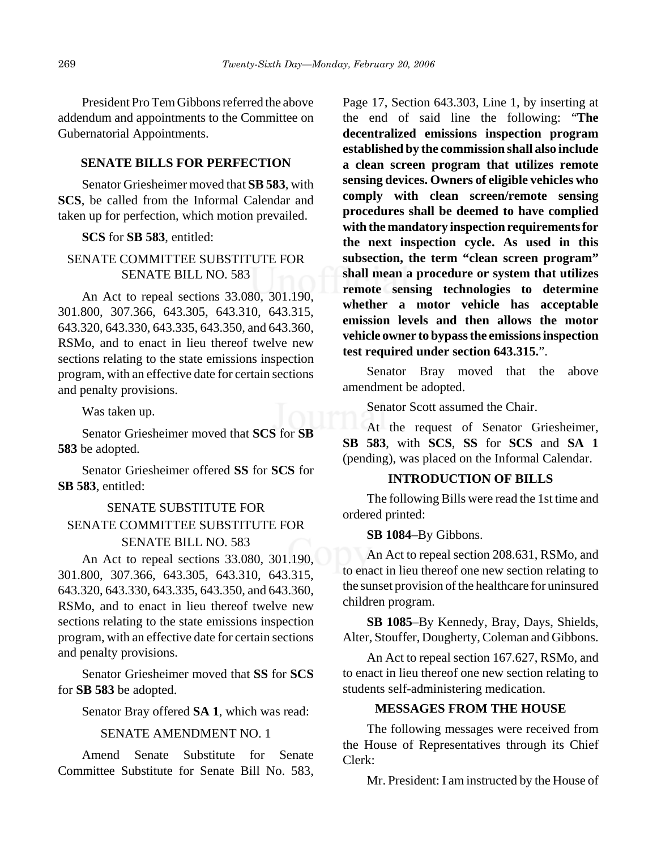President Pro Tem Gibbons referred the above addendum and appointments to the Committee on Gubernatorial Appointments.

# **SENATE BILLS FOR PERFECTION**

Senator Griesheimer moved that **SB 583**, with **SCS**, be called from the Informal Calendar and taken up for perfection, which motion prevailed.

# **SCS** for **SB 583**, entitled:

# SENATE COMMITTEE SUBSTITUTE FOR SENATE BILL NO. 583

An Act to repeal sections 33.080, 301.190, 301.800, 307.366, 643.305, 643.310, 643.315, 643.320, 643.330, 643.335, 643.350, and 643.360, RSMo, and to enact in lieu thereof twelve new sections relating to the state emissions inspection program, with an effective date for certain sections and penalty provisions.

Was taken up.

Senator Griesheimer moved that **SCS** for **SB 583** be adopted.

Senator Griesheimer offered **SS** for **SCS** for **SB 583**, entitled:

# SENATE SUBSTITUTE FOR SENATE COMMITTEE SUBSTITUTE FOR SENATE BILL NO. 583

An Act to repeal sections 33.080, 301.190, 301.800, 307.366, 643.305, 643.310, 643.315, 643.320, 643.330, 643.335, 643.350, and 643.360, RSMo, and to enact in lieu thereof twelve new sections relating to the state emissions inspection program, with an effective date for certain sections and penalty provisions.

Senator Griesheimer moved that **SS** for **SCS** for **SB 583** be adopted.

Senator Bray offered **SA 1**, which was read:

## SENATE AMENDMENT NO. 1

Amend Senate Substitute for Senate Committee Substitute for Senate Bill No. 583, Page 17, Section 643.303, Line 1, by inserting at the end of said line the following: "**The decentralized emissions inspection program established by the commission shall also include a clean screen program that utilizes remote sensing devices. Owners of eligible vehicles who comply with clean screen/remote sensing procedures shall be deemed to have complied with the mandatory inspection requirements for the next inspection cycle. As used in this subsection, the term "clean screen program" shall mean a procedure or system that utilizes remote sensing technologies to determine whether a motor vehicle has acceptable emission levels and then allows the motor vehicle owner to bypass the emissions inspection test required under section 643.315.**".

Senator Bray moved that the above amendment be adopted.

Senator Scott assumed the Chair.

At the request of Senator Griesheimer, **SB 583**, with **SCS**, **SS** for **SCS** and **SA 1** (pending), was placed on the Informal Calendar.

# **INTRODUCTION OF BILLS**

The following Bills were read the 1st time and ordered printed:

**SB 1084**–By Gibbons.

An Act to repeal section 208.631, RSMo, and to enact in lieu thereof one new section relating to the sunset provision of the healthcare for uninsured children program.

**SB 1085**–By Kennedy, Bray, Days, Shields, Alter, Stouffer, Dougherty, Coleman and Gibbons.

An Act to repeal section 167.627, RSMo, and to enact in lieu thereof one new section relating to students self-administering medication.

# **MESSAGES FROM THE HOUSE**

The following messages were received from the House of Representatives through its Chief Clerk:

Mr. President: I am instructed by the House of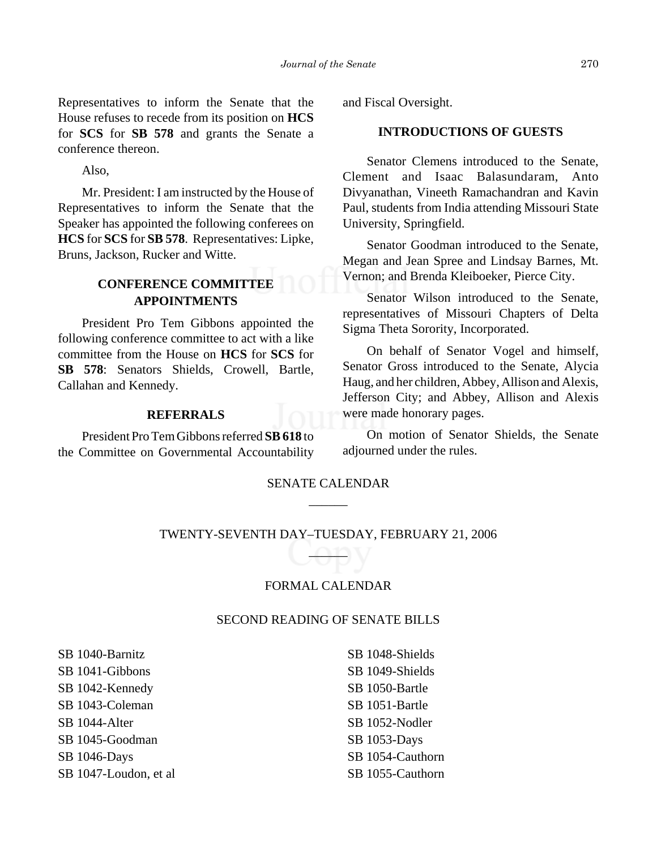Representatives to inform the Senate that the House refuses to recede from its position on **HCS** for **SCS** for **SB 578** and grants the Senate a conference thereon.

Also,

Mr. President: I am instructed by the House of Representatives to inform the Senate that the Speaker has appointed the following conferees on **HCS** for **SCS** for **SB 578**. Representatives: Lipke, Bruns, Jackson, Rucker and Witte.

# **CONFERENCE COMMITTEE APPOINTMENTS**

President Pro Tem Gibbons appointed the following conference committee to act with a like committee from the House on **HCS** for **SCS** for **SB 578**: Senators Shields, Crowell, Bartle, Callahan and Kennedy.

# **REFERRALS**

President Pro Tem Gibbons referred **SB 618** to the Committee on Governmental Accountability and Fiscal Oversight.

# **INTRODUCTIONS OF GUESTS**

Senator Clemens introduced to the Senate, Clement and Isaac Balasundaram, Anto Divyanathan, Vineeth Ramachandran and Kavin Paul, students from India attending Missouri State University, Springfield.

Senator Goodman introduced to the Senate, Megan and Jean Spree and Lindsay Barnes, Mt. Vernon; and Brenda Kleiboeker, Pierce City.

Senator Wilson introduced to the Senate, representatives of Missouri Chapters of Delta Sigma Theta Sorority, Incorporated.

On behalf of Senator Vogel and himself, Senator Gross introduced to the Senate, Alycia Haug, and her children, Abbey, Allison and Alexis, Jefferson City; and Abbey, Allison and Alexis were made honorary pages.

On motion of Senator Shields, the Senate adjourned under the rules.

# SENATE CALENDAR  $\overline{\phantom{a}}$

TWENTY-SEVENTH DAY–TUESDAY, FEBRUARY 21, 2006  $^{\circ}$ 

# FORMAL CALENDAR

# SECOND READING OF SENATE BILLS

SB 1040-Barnitz SB 1041-Gibbons SB 1042-Kennedy SB 1043-Coleman SB 1044-Alter SB 1045-Goodman SB 1046-Days SB 1047-Loudon, et al SB 1048-Shields SB 1049-Shields SB 1050-Bartle SB 1051-Bartle SB 1052-Nodler SB 1053-Days SB 1054-Cauthorn SB 1055-Cauthorn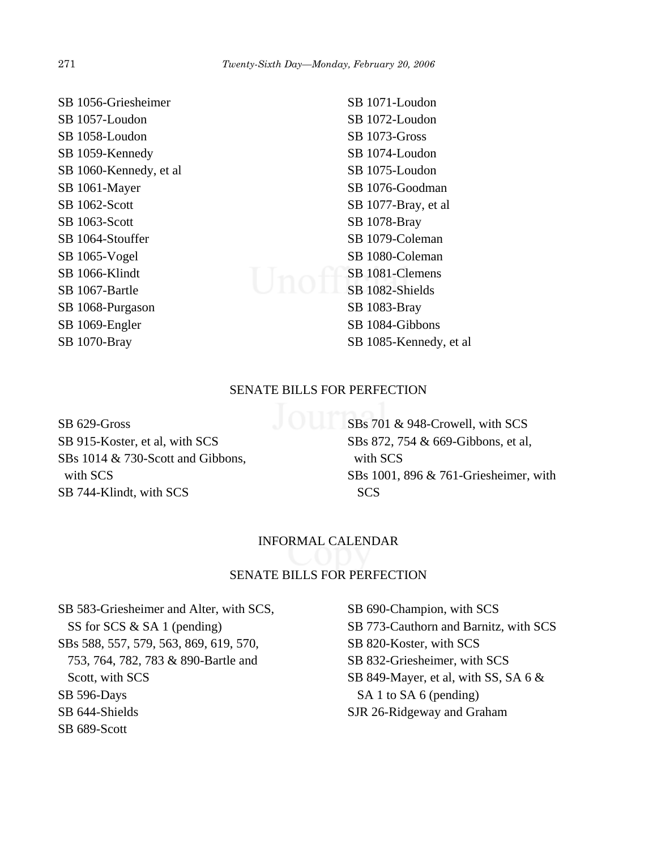SB 1056-Griesheimer SB 1057-Loudon SB 1058-Loudon SB 1059-Kennedy SB 1060-Kennedy, et al SB 1061-Mayer SB 1062-Scott SB 1063-Scott SB 1064-Stouffer SB 1065-Vogel SB 1066-Klindt SB 1067-Bartle SB 1068-Purgason SB 1069-Engler SB 1070-Bray

SB 1071-Loudon SB 1072-Loudon SB 1073-Gross SB 1074-Loudon SB 1075-Loudon SB 1076-Goodman SB 1077-Bray, et al SB 1078-Bray SB 1079-Coleman SB 1080-Coleman SB 1081-Clemens SB 1082-Shields SB 1083-Bray SB 1084-Gibbons SB 1085-Kennedy, et al

# SENATE BILLS FOR PERFECTION

SB 629-Gross SB 915-Koster, et al, with SCS SBs 1014 & 730-Scott and Gibbons, with SCS SB 744-Klindt, with SCS

SBs 701 & 948-Crowell, with SCS SBs 872, 754 & 669-Gibbons, et al, with SCS SBs 1001, 896 & 761-Griesheimer, with **SCS** 

# INFORMAL CALENDAR

# SENATE BILLS FOR PERFECTION

SB 583-Griesheimer and Alter, with SCS, SS for SCS & SA 1 (pending) SBs 588, 557, 579, 563, 869, 619, 570, 753, 764, 782, 783 & 890-Bartle and Scott, with SCS SB 596-Days SB 644-Shields SB 689-Scott

SB 690-Champion, with SCS SB 773-Cauthorn and Barnitz, with SCS SB 820-Koster, with SCS SB 832-Griesheimer, with SCS SB 849-Mayer, et al, with SS, SA 6 & SA 1 to SA 6 (pending) SJR 26-Ridgeway and Graham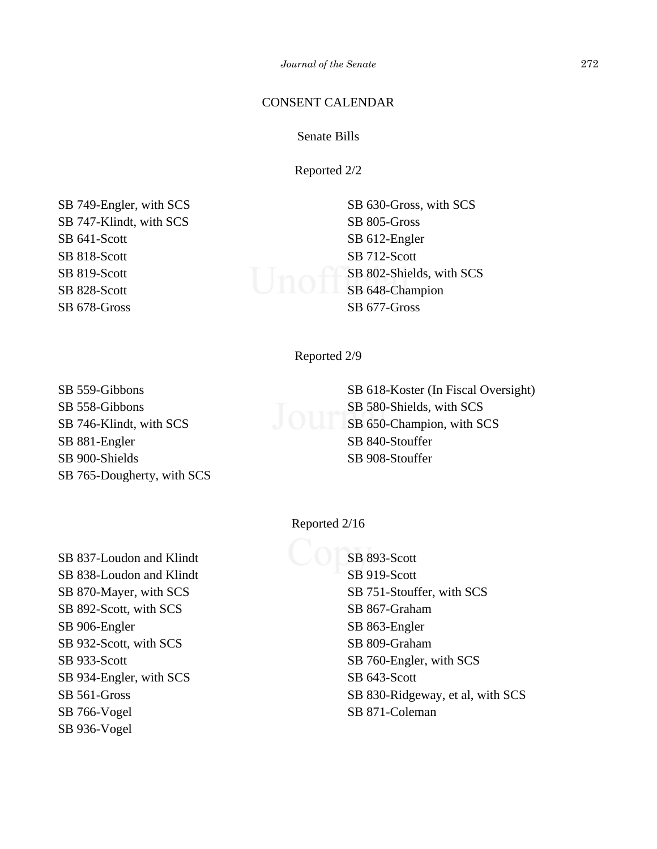*Journal of the Senate* 272

# CONSENT CALENDAR

# Senate Bills

Reported 2/2

SB 749-Engler, with SCS SB 747-Klindt, with SCS SB 641-Scott SB 818-Scott SB 819-Scott SB 828-Scott SB 678-Gross

SB 630-Gross, with SCS SB 805-Gross SB 612-Engler SB 712-Scott SB 802-Shields, with SCS SB 802-Shields, with SB 648-Champion SB 677-Gross

Reported 2/9

SB 559-Gibbons SB 558-Gibbons SB 746-Klindt, with SCS SB 881-Engler SB 900-Shields SB 765-Dougherty, with SCS SB 618-Koster (In Fiscal Oversight) SB 580-Shields, with SCS SB 650-Champion, with SCS SB 840-Stouffer SB 908-Stouffer

Reported 2/16

SB 837-Loudon and Klindt SB 838-Loudon and Klindt SB 870-Mayer, with SCS SB 892-Scott, with SCS SB 906-Engler SB 932-Scott, with SCS SB 933-Scott SB 934-Engler, with SCS SB 561-Gross SB 766-Vogel SB 936-Vogel

# SB 893-Scott SB 919-Scott SB 751-Stouffer, with SCS SB 867-Graham SB 863-Engler SB 809-Graham SB 760-Engler, with SCS SB 643-Scott SB 830-Ridgeway, et al, with SCS SB 871-Coleman